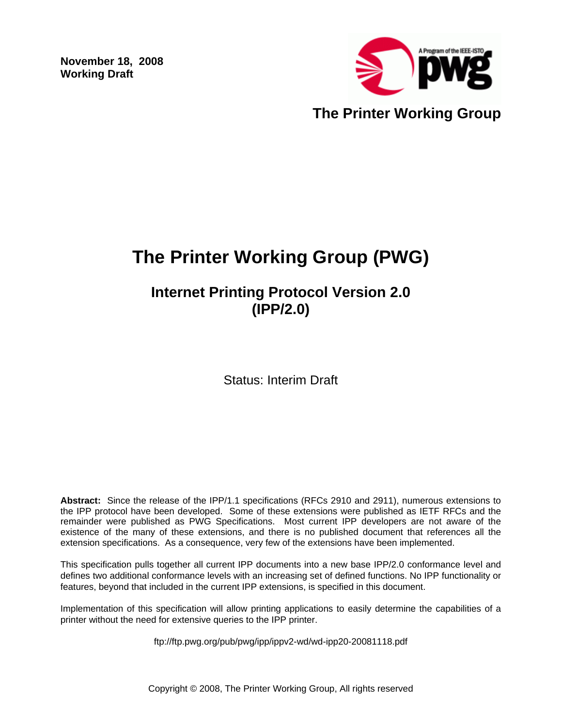**November 18, 2008 Working Draft** 



# **The Printer Working Group (PWG)**

## **Internet Printing Protocol Version 2.0 (IPP/2.0)**

Status: Interim Draft

**Abstract:** Since the release of the IPP/1.1 specifications (RFCs 2910 and 2911), numerous extensions to the IPP protocol have been developed. Some of these extensions were published as IETF RFCs and the remainder were published as PWG Specifications. Most current IPP developers are not aware of the existence of the many of these extensions, and there is no published document that references all the extension specifications. As a consequence, very few of the extensions have been implemented.

This specification pulls together all current IPP documents into a new base IPP/2.0 conformance level and defines two additional conformance levels with an increasing set of defined functions. No IPP functionality or features, beyond that included in the current IPP extensions, is specified in this document.

Implementation of this specification will allow printing applications to easily determine the capabilities of a printer without the need for extensive queries to the IPP printer.

ftp://ftp.pwg.org/pub/pwg/ipp/ippv2-wd/wd-ipp20-20081118.pdf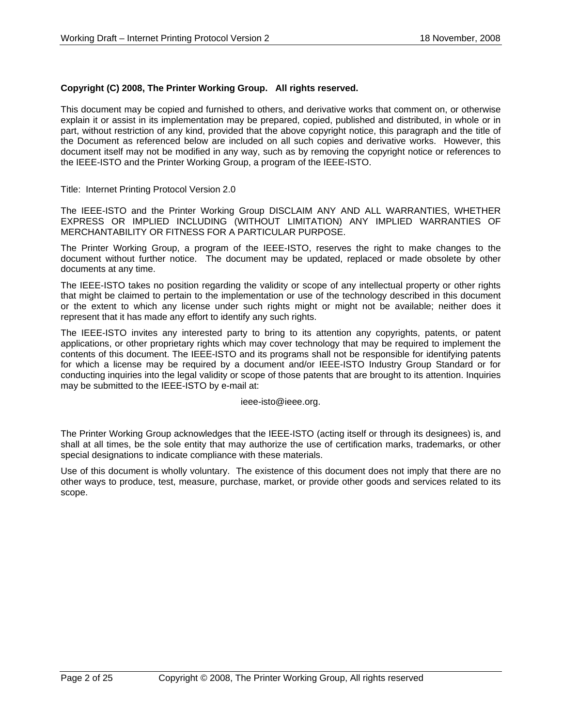#### **Copyright (C) 2008, The Printer Working Group. All rights reserved.**

This document may be copied and furnished to others, and derivative works that comment on, or otherwise explain it or assist in its implementation may be prepared, copied, published and distributed, in whole or in part, without restriction of any kind, provided that the above copyright notice, this paragraph and the title of the Document as referenced below are included on all such copies and derivative works. However, this document itself may not be modified in any way, such as by removing the copyright notice or references to the IEEE-ISTO and the Printer Working Group, a program of the IEEE-ISTO.

Title: Internet Printing Protocol Version 2.0

The IEEE-ISTO and the Printer Working Group DISCLAIM ANY AND ALL WARRANTIES, WHETHER EXPRESS OR IMPLIED INCLUDING (WITHOUT LIMITATION) ANY IMPLIED WARRANTIES OF MERCHANTABILITY OR FITNESS FOR A PARTICULAR PURPOSE.

The Printer Working Group, a program of the IEEE-ISTO, reserves the right to make changes to the document without further notice. The document may be updated, replaced or made obsolete by other documents at any time.

The IEEE-ISTO takes no position regarding the validity or scope of any intellectual property or other rights that might be claimed to pertain to the implementation or use of the technology described in this document or the extent to which any license under such rights might or might not be available; neither does it represent that it has made any effort to identify any such rights.

The IEEE-ISTO invites any interested party to bring to its attention any copyrights, patents, or patent applications, or other proprietary rights which may cover technology that may be required to implement the contents of this document. The IEEE-ISTO and its programs shall not be responsible for identifying patents for which a license may be required by a document and/or IEEE-ISTO Industry Group Standard or for conducting inquiries into the legal validity or scope of those patents that are brought to its attention. Inquiries may be submitted to the IEEE-ISTO by e-mail at:

ieee-isto@ieee.org.

The Printer Working Group acknowledges that the IEEE-ISTO (acting itself or through its designees) is, and shall at all times, be the sole entity that may authorize the use of certification marks, trademarks, or other special designations to indicate compliance with these materials.

Use of this document is wholly voluntary. The existence of this document does not imply that there are no other ways to produce, test, measure, purchase, market, or provide other goods and services related to its scope.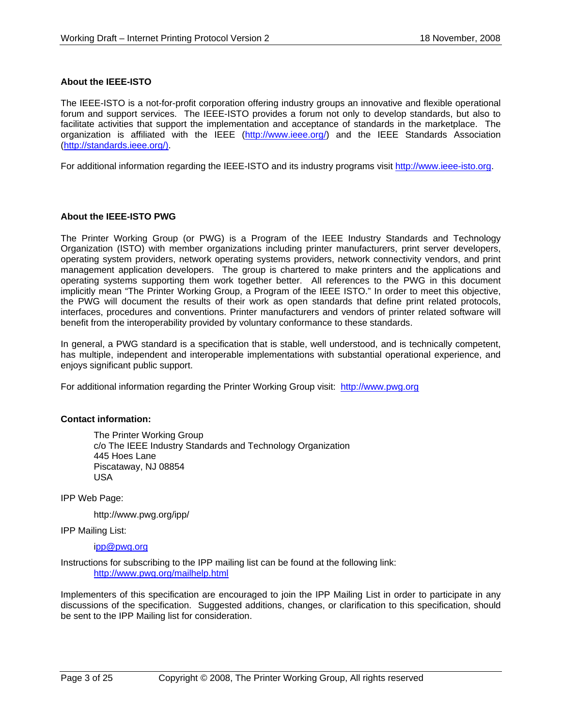#### **About the IEEE-ISTO**

The IEEE-ISTO is a not-for-profit corporation offering industry groups an innovative and flexible operational forum and support services. The IEEE-ISTO provides a forum not only to develop standards, but also to facilitate activities that support the implementation and acceptance of standards in the marketplace. The organization is affiliated with the IEEE (http://www.ieee.org/) and the IEEE Standards Association (http://standards.ieee.org/).

For additional information regarding the IEEE-ISTO and its industry programs visit http://www.ieee-isto.org.

#### **About the IEEE-ISTO PWG**

The Printer Working Group (or PWG) is a Program of the IEEE Industry Standards and Technology Organization (ISTO) with member organizations including printer manufacturers, print server developers, operating system providers, network operating systems providers, network connectivity vendors, and print management application developers. The group is chartered to make printers and the applications and operating systems supporting them work together better. All references to the PWG in this document implicitly mean "The Printer Working Group, a Program of the IEEE ISTO." In order to meet this objective, the PWG will document the results of their work as open standards that define print related protocols, interfaces, procedures and conventions. Printer manufacturers and vendors of printer related software will benefit from the interoperability provided by voluntary conformance to these standards.

In general, a PWG standard is a specification that is stable, well understood, and is technically competent, has multiple, independent and interoperable implementations with substantial operational experience, and enjoys significant public support.

For additional information regarding the Printer Working Group visit: http://www.pwg.org

#### **Contact information:**

The Printer Working Group c/o The IEEE Industry Standards and Technology Organization 445 Hoes Lane Piscataway, NJ 08854 USA

IPP Web Page:

http://www.pwg.org/ipp/

IPP Mailing List:

ipp@pwg.org

Instructions for subscribing to the IPP mailing list can be found at the following link: http://www.pwg.org/mailhelp.html

Implementers of this specification are encouraged to join the IPP Mailing List in order to participate in any discussions of the specification. Suggested additions, changes, or clarification to this specification, should be sent to the IPP Mailing list for consideration.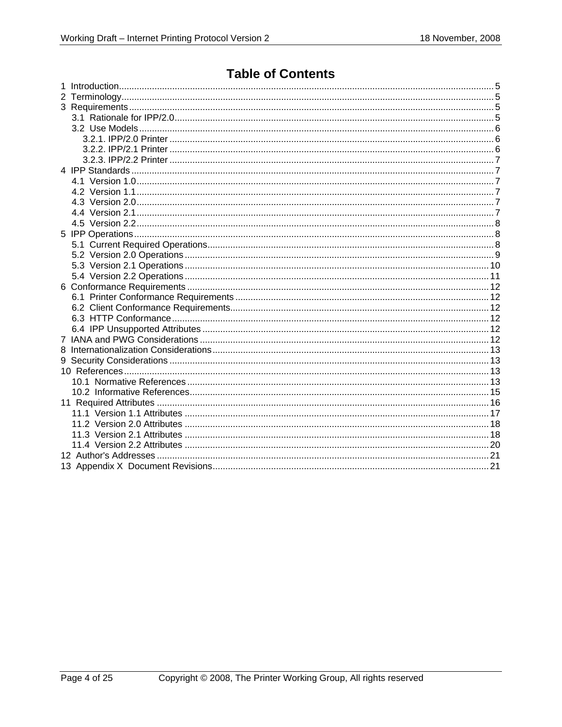## **Table of Contents**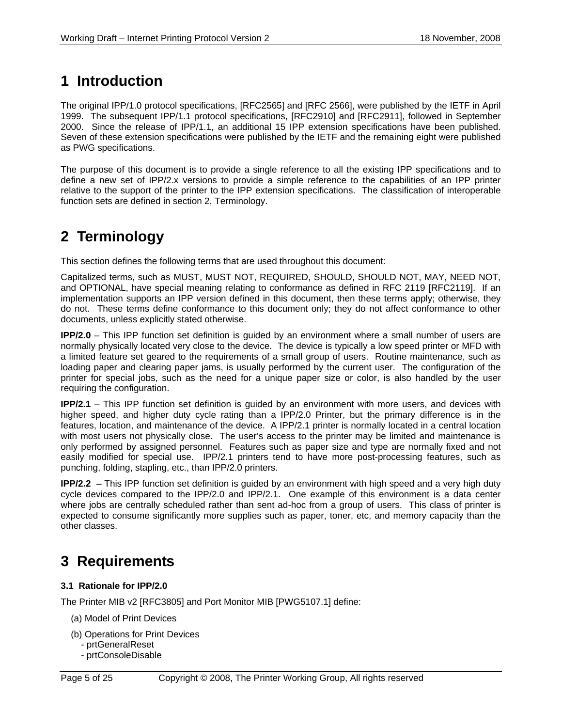## **1 Introduction**

The original IPP/1.0 protocol specifications, [RFC2565] and [RFC 2566], were published by the IETF in April 1999. The subsequent IPP/1.1 protocol specifications, [RFC2910] and [RFC2911], followed in September 2000. Since the release of IPP/1.1, an additional 15 IPP extension specifications have been published. Seven of these extension specifications were published by the IETF and the remaining eight were published as PWG specifications.

The purpose of this document is to provide a single reference to all the existing IPP specifications and to define a new set of IPP/2.x versions to provide a simple reference to the capabilities of an IPP printer relative to the support of the printer to the IPP extension specifications. The classification of interoperable function sets are defined in section 2, Terminology.

## **2 Terminology**

This section defines the following terms that are used throughout this document:

Capitalized terms, such as MUST, MUST NOT, REQUIRED, SHOULD, SHOULD NOT, MAY, NEED NOT, and OPTIONAL, have special meaning relating to conformance as defined in RFC 2119 [RFC2119]. If an implementation supports an IPP version defined in this document, then these terms apply; otherwise, they do not. These terms define conformance to this document only; they do not affect conformance to other documents, unless explicitly stated otherwise.

**IPP/2.0** – This IPP function set definition is quided by an environment where a small number of users are normally physically located very close to the device. The device is typically a low speed printer or MFD with a limited feature set geared to the requirements of a small group of users. Routine maintenance, such as loading paper and clearing paper jams, is usually performed by the current user. The configuration of the printer for special jobs, such as the need for a unique paper size or color, is also handled by the user requiring the configuration.

**IPP/2.1** – This IPP function set definition is guided by an environment with more users, and devices with higher speed, and higher duty cycle rating than a IPP/2.0 Printer, but the primary difference is in the features, location, and maintenance of the device. A IPP/2.1 printer is normally located in a central location with most users not physically close. The user's access to the printer may be limited and maintenance is only performed by assigned personnel. Features such as paper size and type are normally fixed and not easily modified for special use. IPP/2.1 printers tend to have more post-processing features, such as punching, folding, stapling, etc., than IPP/2.0 printers.

**IPP/2.2** – This IPP function set definition is guided by an environment with high speed and a very high duty cycle devices compared to the IPP/2.0 and IPP/2.1. One example of this environment is a data center where jobs are centrally scheduled rather than sent ad-hoc from a group of users. This class of printer is expected to consume significantly more supplies such as paper, toner, etc, and memory capacity than the other classes.

## **3 Requirements**

## **3.1 Rationale for IPP/2.0**

The Printer MIB v2 [RFC3805] and Port Monitor MIB [PWG5107.1] define:

- (a) Model of Print Devices
- (b) Operations for Print Devices
	- prtGeneralReset
	- prtConsoleDisable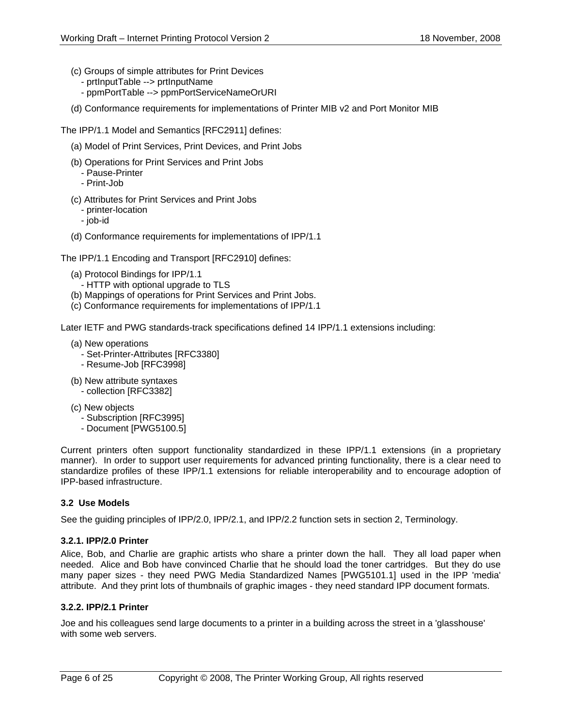- (c) Groups of simple attributes for Print Devices
	- prtInputTable --> prtInputName
	- ppmPortTable --> ppmPortServiceNameOrURI
- (d) Conformance requirements for implementations of Printer MIB v2 and Port Monitor MIB

The IPP/1.1 Model and Semantics [RFC2911] defines:

- (a) Model of Print Services, Print Devices, and Print Jobs
- (b) Operations for Print Services and Print Jobs
	- Pause-Printer
	- Print-Job
- (c) Attributes for Print Services and Print Jobs
	- printer-location
	- job-id
- (d) Conformance requirements for implementations of IPP/1.1

The IPP/1.1 Encoding and Transport [RFC2910] defines:

- (a) Protocol Bindings for IPP/1.1
	- HTTP with optional upgrade to TLS
- (b) Mappings of operations for Print Services and Print Jobs.
- (c) Conformance requirements for implementations of IPP/1.1

Later IETF and PWG standards-track specifications defined 14 IPP/1.1 extensions including:

- (a) New operations
	- Set-Printer-Attributes [RFC3380]
	- Resume-Job [RFC3998]
- (b) New attribute syntaxes - collection [RFC3382]
- (c) New objects
	- Subscription [RFC3995]
	- Document [PWG5100.5]

Current printers often support functionality standardized in these IPP/1.1 extensions (in a proprietary manner). In order to support user requirements for advanced printing functionality, there is a clear need to standardize profiles of these IPP/1.1 extensions for reliable interoperability and to encourage adoption of IPP-based infrastructure.

## **3.2 Use Models**

See the guiding principles of IPP/2.0, IPP/2.1, and IPP/2.2 function sets in section 2, Terminology.

#### **3.2.1. IPP/2.0 Printer**

Alice, Bob, and Charlie are graphic artists who share a printer down the hall. They all load paper when needed. Alice and Bob have convinced Charlie that he should load the toner cartridges. But they do use many paper sizes - they need PWG Media Standardized Names [PWG5101.1] used in the IPP 'media' attribute. And they print lots of thumbnails of graphic images - they need standard IPP document formats.

#### **3.2.2. IPP/2.1 Printer**

Joe and his colleagues send large documents to a printer in a building across the street in a 'glasshouse' with some web servers.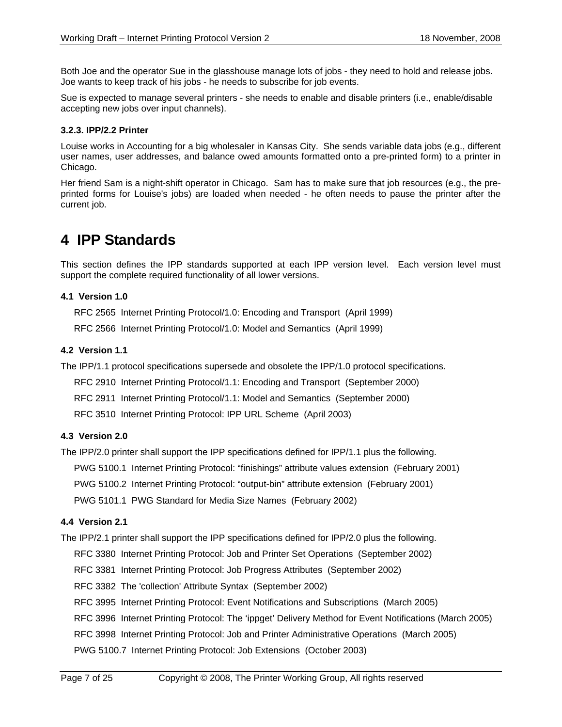Both Joe and the operator Sue in the glasshouse manage lots of jobs - they need to hold and release jobs. Joe wants to keep track of his jobs - he needs to subscribe for job events.

Sue is expected to manage several printers - she needs to enable and disable printers (i.e., enable/disable accepting new jobs over input channels).

#### **3.2.3. IPP/2.2 Printer**

Louise works in Accounting for a big wholesaler in Kansas City. She sends variable data jobs (e.g., different user names, user addresses, and balance owed amounts formatted onto a pre-printed form) to a printer in Chicago.

Her friend Sam is a night-shift operator in Chicago. Sam has to make sure that job resources (e.g., the preprinted forms for Louise's jobs) are loaded when needed - he often needs to pause the printer after the current job.

## **4 IPP Standards**

This section defines the IPP standards supported at each IPP version level. Each version level must support the complete required functionality of all lower versions.

### **4.1 Version 1.0**

RFC 2565 Internet Printing Protocol/1.0: Encoding and Transport (April 1999)

RFC 2566 Internet Printing Protocol/1.0: Model and Semantics (April 1999)

### **4.2 Version 1.1**

The IPP/1.1 protocol specifications supersede and obsolete the IPP/1.0 protocol specifications.

RFC 2910 Internet Printing Protocol/1.1: Encoding and Transport (September 2000)

RFC 2911 Internet Printing Protocol/1.1: Model and Semantics (September 2000)

RFC 3510 Internet Printing Protocol: IPP URL Scheme (April 2003)

## **4.3 Version 2.0**

The IPP/2.0 printer shall support the IPP specifications defined for IPP/1.1 plus the following.

PWG 5100.1 Internet Printing Protocol: "finishings" attribute values extension (February 2001)

PWG 5100.2 Internet Printing Protocol: "output-bin" attribute extension (February 2001)

PWG 5101.1 PWG Standard for Media Size Names (February 2002)

## **4.4 Version 2.1**

The IPP/2.1 printer shall support the IPP specifications defined for IPP/2.0 plus the following.

RFC 3380 Internet Printing Protocol: Job and Printer Set Operations (September 2002)

RFC 3381 Internet Printing Protocol: Job Progress Attributes (September 2002)

RFC 3382 The 'collection' Attribute Syntax (September 2002)

RFC 3995 Internet Printing Protocol: Event Notifications and Subscriptions (March 2005)

RFC 3996 Internet Printing Protocol: The 'ippget' Delivery Method for Event Notifications (March 2005)

RFC 3998 Internet Printing Protocol: Job and Printer Administrative Operations (March 2005)

PWG 5100.7 Internet Printing Protocol: Job Extensions (October 2003)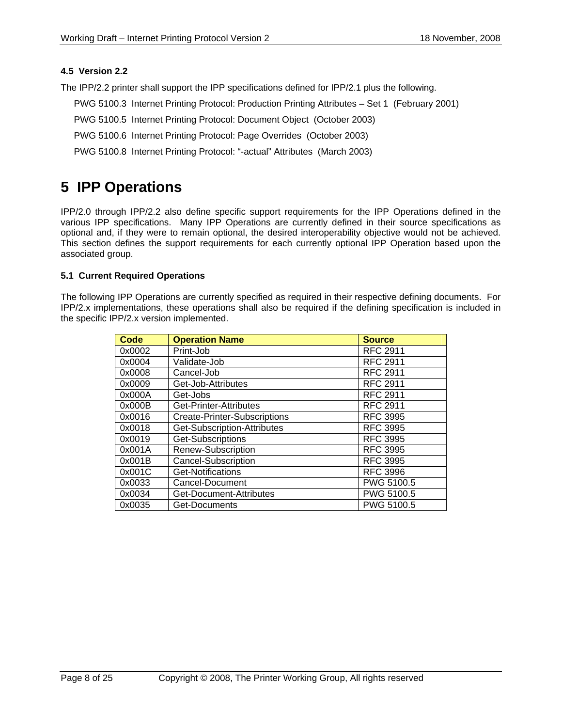## **4.5 Version 2.2**

The IPP/2.2 printer shall support the IPP specifications defined for IPP/2.1 plus the following.

- PWG 5100.3 Internet Printing Protocol: Production Printing Attributes Set 1 (February 2001)
- PWG 5100.5 Internet Printing Protocol: Document Object (October 2003)
- PWG 5100.6 Internet Printing Protocol: Page Overrides (October 2003)
- PWG 5100.8 Internet Printing Protocol: "-actual" Attributes (March 2003)

## **5 IPP Operations**

IPP/2.0 through IPP/2.2 also define specific support requirements for the IPP Operations defined in the various IPP specifications. Many IPP Operations are currently defined in their source specifications as optional and, if they were to remain optional, the desired interoperability objective would not be achieved. This section defines the support requirements for each currently optional IPP Operation based upon the associated group.

### **5.1 Current Required Operations**

The following IPP Operations are currently specified as required in their respective defining documents. For IPP/2.x implementations, these operations shall also be required if the defining specification is included in the specific IPP/2.x version implemented.

| Code   | <b>Operation Name</b>               | <b>Source</b>   |
|--------|-------------------------------------|-----------------|
| 0x0002 | Print-Job                           | <b>RFC 2911</b> |
| 0x0004 | Validate-Job                        | <b>RFC 2911</b> |
| 0x0008 | Cancel-Job                          | <b>RFC 2911</b> |
| 0x0009 | Get-Job-Attributes                  | <b>RFC 2911</b> |
| 0x000A | Get-Jobs                            | <b>RFC 2911</b> |
| 0x000B | Get-Printer-Attributes              | <b>RFC 2911</b> |
| 0x0016 | <b>Create-Printer-Subscriptions</b> | <b>RFC 3995</b> |
| 0x0018 | Get-Subscription-Attributes         | <b>RFC 3995</b> |
| 0x0019 | Get-Subscriptions                   | <b>RFC 3995</b> |
| 0x001A | Renew-Subscription                  | <b>RFC 3995</b> |
| 0x001B | <b>Cancel-Subscription</b>          | <b>RFC 3995</b> |
| 0x001C | Get-Notifications                   | <b>RFC 3996</b> |
| 0x0033 | Cancel-Document                     | PWG 5100.5      |
| 0x0034 | Get-Document-Attributes             | PWG 5100.5      |
| 0x0035 | Get-Documents                       | PWG 5100.5      |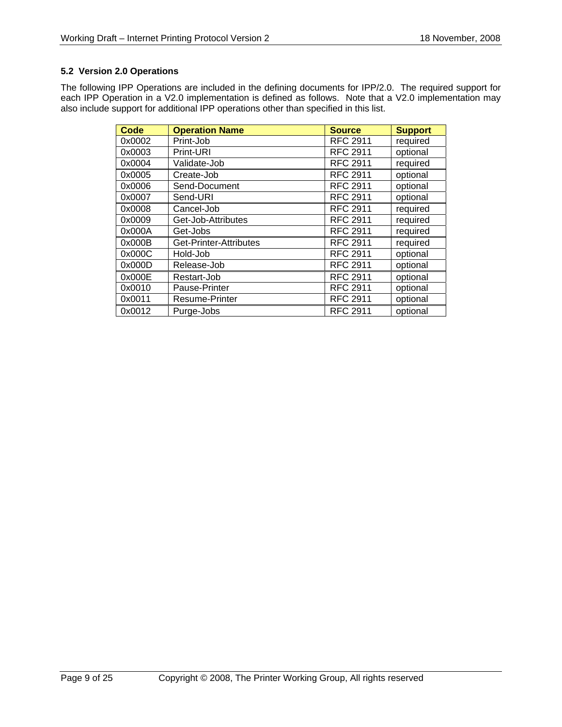## **5.2 Version 2.0 Operations**

The following IPP Operations are included in the defining documents for IPP/2.0. The required support for each IPP Operation in a V2.0 implementation is defined as follows. Note that a V2.0 implementation may also include support for additional IPP operations other than specified in this list.

| Code   | <b>Operation Name</b>  | <b>Source</b>   | <b>Support</b> |
|--------|------------------------|-----------------|----------------|
| 0x0002 | Print-Job              | <b>RFC 2911</b> | required       |
| 0x0003 | Print-URI              | <b>RFC 2911</b> | optional       |
| 0x0004 | Validate-Job           | <b>RFC 2911</b> | required       |
| 0x0005 | Create-Job             | <b>RFC 2911</b> | optional       |
| 0x0006 | Send-Document          | <b>RFC 2911</b> | optional       |
| 0x0007 | Send-URI               | <b>RFC 2911</b> | optional       |
| 0x0008 | Cancel-Job             | <b>RFC 2911</b> | required       |
| 0x0009 | Get-Job-Attributes     | <b>RFC 2911</b> | required       |
| 0x000A | Get-Jobs               | <b>RFC 2911</b> | required       |
| 0x000B | Get-Printer-Attributes | <b>RFC 2911</b> | required       |
| 0x000C | Hold-Job               | <b>RFC 2911</b> | optional       |
| 0x000D | Release-Job            | <b>RFC 2911</b> | optional       |
| 0x000E | Restart-Job            | <b>RFC 2911</b> | optional       |
| 0x0010 | Pause-Printer          | <b>RFC 2911</b> | optional       |
| 0x0011 | <b>Resume-Printer</b>  | <b>RFC 2911</b> | optional       |
| 0x0012 | Purge-Jobs             | <b>RFC 2911</b> | optional       |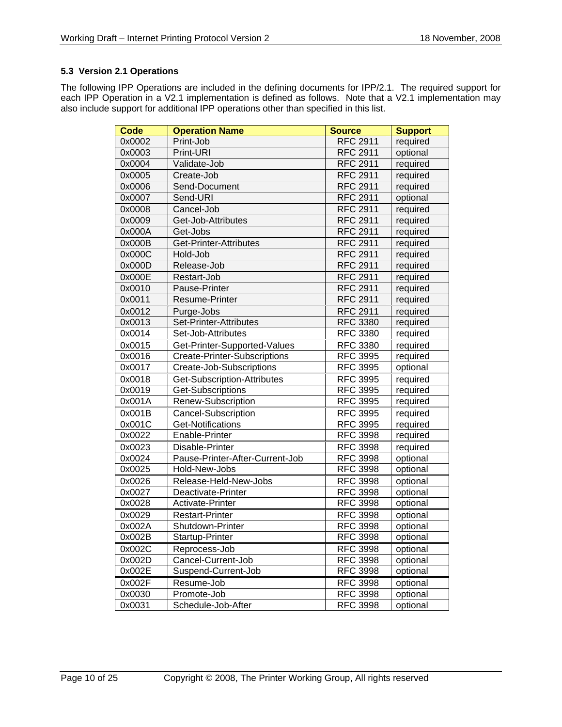## **5.3 Version 2.1 Operations**

The following IPP Operations are included in the defining documents for IPP/2.1. The required support for each IPP Operation in a V2.1 implementation is defined as follows. Note that a V2.1 implementation may also include support for additional IPP operations other than specified in this list.

| <b>Code</b> | <b>Operation Name</b>               | <b>Source</b>   | <b>Support</b> |
|-------------|-------------------------------------|-----------------|----------------|
| 0x0002      | Print-Job                           | <b>RFC 2911</b> | required       |
| 0x0003      | Print-URI                           | <b>RFC 2911</b> | optional       |
| 0x0004      | Validate-Job                        | <b>RFC 2911</b> | required       |
| 0x0005      | Create-Job                          | <b>RFC 2911</b> | required       |
| 0x0006      | Send-Document                       | <b>RFC 2911</b> | required       |
| 0x0007      | Send-URI                            | <b>RFC 2911</b> | optional       |
| 0x0008      | Cancel-Job                          | <b>RFC 2911</b> | required       |
| 0x0009      | Get-Job-Attributes                  | <b>RFC 2911</b> | required       |
| 0x000A      | Get-Jobs                            | <b>RFC 2911</b> | required       |
| 0x000B      | Get-Printer-Attributes              | <b>RFC 2911</b> | required       |
| 0x000C      | Hold-Job                            | <b>RFC 2911</b> | required       |
| 0x000D      | Release-Job                         | <b>RFC 2911</b> | required       |
| 0x000E      | Restart-Job                         | <b>RFC 2911</b> | required       |
| 0x0010      | Pause-Printer                       | <b>RFC 2911</b> | required       |
| 0x0011      | Resume-Printer                      | <b>RFC 2911</b> | required       |
| 0x0012      | Purge-Jobs                          | <b>RFC 2911</b> | required       |
| 0x0013      | Set-Printer-Attributes              | <b>RFC 3380</b> | required       |
| 0x0014      | Set-Job-Attributes                  | <b>RFC 3380</b> | required       |
| 0x0015      | Get-Printer-Supported-Values        | <b>RFC 3380</b> | required       |
| 0x0016      | <b>Create-Printer-Subscriptions</b> | <b>RFC 3995</b> | required       |
| 0x0017      | Create-Job-Subscriptions            | <b>RFC 3995</b> | optional       |
| 0x0018      | Get-Subscription-Attributes         | <b>RFC 3995</b> | required       |
| 0x0019      | Get-Subscriptions                   | <b>RFC 3995</b> | required       |
| 0x001A      | Renew-Subscription                  | <b>RFC 3995</b> | required       |
| 0x001B      | Cancel-Subscription                 | <b>RFC 3995</b> | required       |
| 0x001C      | Get-Notifications                   | <b>RFC 3995</b> | required       |
| 0x0022      | Enable-Printer                      | <b>RFC 3998</b> | required       |
| 0x0023      | Disable-Printer                     | <b>RFC 3998</b> | required       |
| 0x0024      | Pause-Printer-After-Current-Job     | <b>RFC 3998</b> | optional       |
| 0x0025      | Hold-New-Jobs                       | <b>RFC 3998</b> | optional       |
| 0x0026      | Release-Held-New-Jobs               | <b>RFC 3998</b> | optional       |
| 0x0027      | Deactivate-Printer                  | <b>RFC 3998</b> | optional       |
| 0x0028      | Activate-Printer                    | <b>RFC 3998</b> | optional       |
| 0x0029      | <b>Restart-Printer</b>              | <b>RFC 3998</b> | optional       |
| 0x002A      | Shutdown-Printer                    | <b>RFC 3998</b> | optional       |
| 0x002B      | Startup-Printer                     | <b>RFC 3998</b> | optional       |
| 0x002C      | Reprocess-Job                       | <b>RFC 3998</b> | optional       |
| 0x002D      | Cancel-Current-Job                  | <b>RFC 3998</b> | optional       |
| 0x002E      | Suspend-Current-Job                 | <b>RFC 3998</b> | optional       |
| 0x002F      | Resume-Job                          | <b>RFC 3998</b> | optional       |
| 0x0030      | Promote-Job                         | <b>RFC 3998</b> | optional       |
| 0x0031      | Schedule-Job-After                  | <b>RFC 3998</b> | optional       |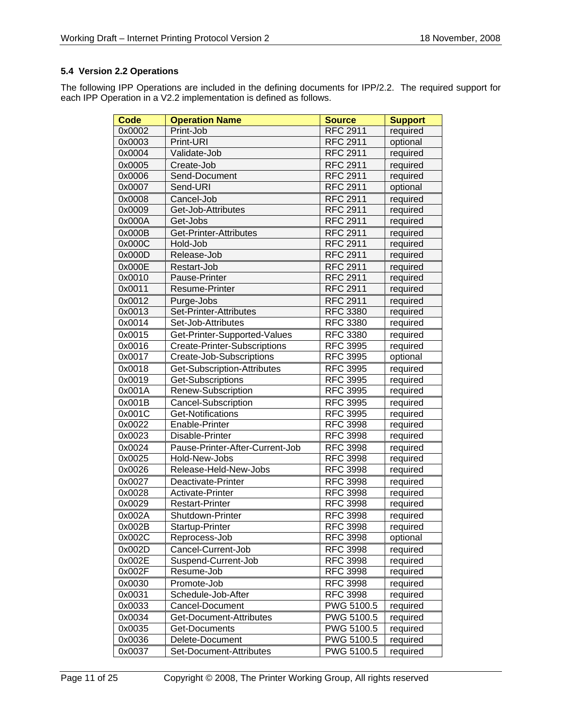## **5.4 Version 2.2 Operations**

The following IPP Operations are included in the defining documents for IPP/2.2. The required support for each IPP Operation in a V2.2 implementation is defined as follows.

| <b>Code</b>         | <b>Operation Name</b>               | <b>Source</b>   | <b>Support</b> |
|---------------------|-------------------------------------|-----------------|----------------|
| 0x0002              | Print-Job                           | <b>RFC 2911</b> | required       |
| 0x0003              | Print-URI                           | <b>RFC 2911</b> | optional       |
| 0x0004              | Validate-Job                        | <b>RFC 2911</b> | required       |
| 0x0005              | Create-Job                          | <b>RFC 2911</b> | required       |
| 0x0006              | Send-Document                       | <b>RFC 2911</b> | required       |
| 0x0007              | Send-URI                            | <b>RFC 2911</b> | optional       |
| 0x0008              | Cancel-Job                          | <b>RFC 2911</b> | required       |
| 0x0009              | Get-Job-Attributes                  | <b>RFC 2911</b> | required       |
| 0x000A              | Get-Jobs                            | <b>RFC 2911</b> | required       |
| 0x000B              | Get-Printer-Attributes              | <b>RFC 2911</b> | required       |
| 0x000C              | Hold-Job                            | <b>RFC 2911</b> | required       |
| 0x000D              | Release-Job                         | <b>RFC 2911</b> | required       |
| 0x000E              | Restart-Job                         | <b>RFC 2911</b> | required       |
| 0x0010              | Pause-Printer                       | <b>RFC 2911</b> | required       |
| 0x0011              | Resume-Printer                      | <b>RFC 2911</b> | required       |
| 0x0012              | Purge-Jobs                          | <b>RFC 2911</b> | required       |
| 0x0013              | Set-Printer-Attributes              | <b>RFC 3380</b> | required       |
| 0x0014              | Set-Job-Attributes                  | <b>RFC 3380</b> | required       |
| 0x0015              | Get-Printer-Supported-Values        | <b>RFC 3380</b> | required       |
| 0x0016              | <b>Create-Printer-Subscriptions</b> | <b>RFC 3995</b> | required       |
| 0x0017              | Create-Job-Subscriptions            | <b>RFC 3995</b> | optional       |
| 0x0018              | Get-Subscription-Attributes         | <b>RFC 3995</b> | required       |
| 0x0019              | Get-Subscriptions                   | <b>RFC 3995</b> | required       |
| 0x001A              | Renew-Subscription                  | <b>RFC 3995</b> | required       |
| $0x001\overline{B}$ | <b>Cancel-Subscription</b>          | <b>RFC 3995</b> | required       |
| 0x001C              | <b>Get-Notifications</b>            | <b>RFC 3995</b> | required       |
| 0x0022              | Enable-Printer                      | <b>RFC 3998</b> | required       |
| 0x0023              | Disable-Printer                     | <b>RFC 3998</b> | required       |
| 0x0024              | Pause-Printer-After-Current-Job     | <b>RFC 3998</b> | required       |
| 0x0025              | Hold-New-Jobs                       | <b>RFC 3998</b> | required       |
| 0x0026              | Release-Held-New-Jobs               | <b>RFC 3998</b> | required       |
| 0x0027              | Deactivate-Printer                  | <b>RFC 3998</b> | required       |
| 0x0028              | Activate-Printer                    | <b>RFC 3998</b> | required       |
| 0x0029              | <b>Restart-Printer</b>              | <b>RFC 3998</b> | required       |
| 0x002A              | Shutdown-Printer                    | <b>RFC 3998</b> | required       |
| 0x002B              | Startup-Printer                     | <b>RFC 3998</b> | required       |
| 0x002C              | Reprocess-Job                       | <b>RFC 3998</b> | optional       |
| 0x002D              | Cancel-Current-Job                  | <b>RFC 3998</b> | required       |
| 0x002E              | Suspend-Current-Job                 | <b>RFC 3998</b> | required       |
| 0x002F              | Resume-Job                          | <b>RFC 3998</b> | required       |
| 0x0030              | Promote-Job                         | <b>RFC 3998</b> | required       |
| 0x0031              | Schedule-Job-After                  | <b>RFC 3998</b> | required       |
| 0x0033              | Cancel-Document                     | PWG 5100.5      | required       |
| 0x0034              | Get-Document-Attributes             | PWG 5100.5      | required       |
| 0x0035              | Get-Documents                       | PWG 5100.5      | required       |
| 0x0036              | Delete-Document                     | PWG 5100.5      | required       |
| 0x0037              | Set-Document-Attributes             | PWG 5100.5      | required       |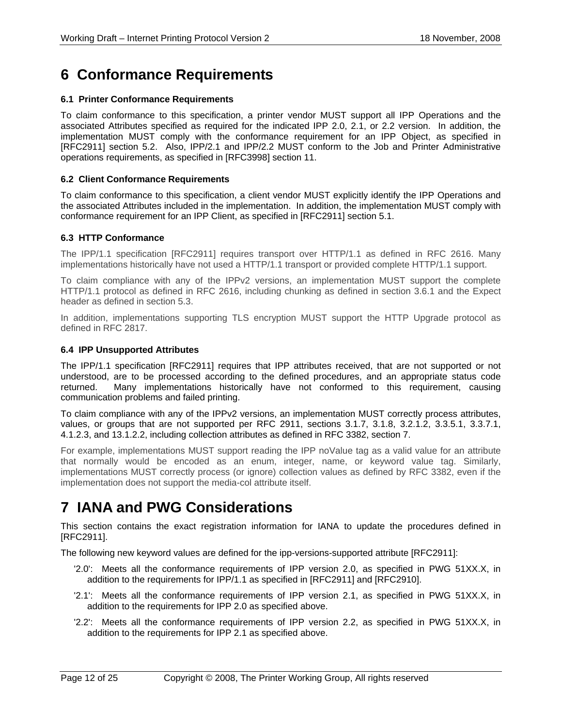## **6 Conformance Requirements**

#### **6.1 Printer Conformance Requirements**

To claim conformance to this specification, a printer vendor MUST support all IPP Operations and the associated Attributes specified as required for the indicated IPP 2.0, 2.1, or 2.2 version. In addition, the implementation MUST comply with the conformance requirement for an IPP Object, as specified in [RFC2911] section 5.2. Also, IPP/2.1 and IPP/2.2 MUST conform to the Job and Printer Administrative operations requirements, as specified in [RFC3998] section 11.

#### **6.2 Client Conformance Requirements**

To claim conformance to this specification, a client vendor MUST explicitly identify the IPP Operations and the associated Attributes included in the implementation. In addition, the implementation MUST comply with conformance requirement for an IPP Client, as specified in [RFC2911] section 5.1.

#### **6.3 HTTP Conformance**

The IPP/1.1 specification [RFC2911] requires transport over HTTP/1.1 as defined in RFC 2616. Many implementations historically have not used a HTTP/1.1 transport or provided complete HTTP/1.1 support.

To claim compliance with any of the IPPv2 versions, an implementation MUST support the complete HTTP/1.1 protocol as defined in RFC 2616, including chunking as defined in section 3.6.1 and the Expect header as defined in section 5.3.

In addition, implementations supporting TLS encryption MUST support the HTTP Upgrade protocol as defined in RFC 2817.

#### **6.4 IPP Unsupported Attributes**

The IPP/1.1 specification [RFC2911] requires that IPP attributes received, that are not supported or not understood, are to be processed according to the defined procedures, and an appropriate status code returned. Many implementations historically have not conformed to this requirement, causing communication problems and failed printing.

To claim compliance with any of the IPPv2 versions, an implementation MUST correctly process attributes, values, or groups that are not supported per RFC 2911, sections 3.1.7, 3.1.8, 3.2.1.2, 3.3.5.1, 3.3.7.1, 4.1.2.3, and 13.1.2.2, including collection attributes as defined in RFC 3382, section 7.

For example, implementations MUST support reading the IPP noValue tag as a valid value for an attribute that normally would be encoded as an enum, integer, name, or keyword value tag. Similarly, implementations MUST correctly process (or ignore) collection values as defined by RFC 3382, even if the implementation does not support the media-col attribute itself.

## **7 IANA and PWG Considerations**

This section contains the exact registration information for IANA to update the procedures defined in [RFC2911].

The following new keyword values are defined for the ipp-versions-supported attribute [RFC2911]:

- '2.0': Meets all the conformance requirements of IPP version 2.0, as specified in PWG 51XX.X, in addition to the requirements for IPP/1.1 as specified in [RFC2911] and [RFC2910].
- '2.1': Meets all the conformance requirements of IPP version 2.1, as specified in PWG 51XX.X, in addition to the requirements for IPP 2.0 as specified above.
- '2.2': Meets all the conformance requirements of IPP version 2.2, as specified in PWG 51XX.X, in addition to the requirements for IPP 2.1 as specified above.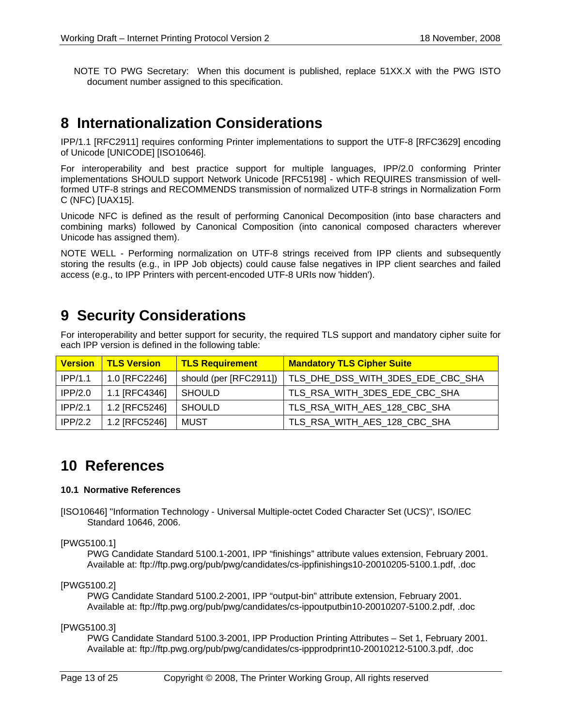NOTE TO PWG Secretary: When this document is published, replace 51XX.X with the PWG ISTO document number assigned to this specification.

## **8 Internationalization Considerations**

IPP/1.1 [RFC2911] requires conforming Printer implementations to support the UTF-8 [RFC3629] encoding of Unicode [UNICODE] [ISO10646].

For interoperability and best practice support for multiple languages, IPP/2.0 conforming Printer implementations SHOULD support Network Unicode [RFC5198] - which REQUIRES transmission of wellformed UTF-8 strings and RECOMMENDS transmission of normalized UTF-8 strings in Normalization Form C (NFC) [UAX15].

Unicode NFC is defined as the result of performing Canonical Decomposition (into base characters and combining marks) followed by Canonical Composition (into canonical composed characters wherever Unicode has assigned them).

NOTE WELL - Performing normalization on UTF-8 strings received from IPP clients and subsequently storing the results (e.g., in IPP Job objects) could cause false negatives in IPP client searches and failed access (e.g., to IPP Printers with percent-encoded UTF-8 URIs now 'hidden').

## **9 Security Considerations**

For interoperability and better support for security, the required TLS support and mandatory cipher suite for each IPP version is defined in the following table:

| <b>Version</b> | <b>TLS Version</b> | <b>TLS Requirement</b> | <b>Mandatory TLS Cipher Suite</b> |
|----------------|--------------------|------------------------|-----------------------------------|
| IPP/1.1        | 1.0 [RFC2246]      | should (per [RFC2911]) | TLS_DHE_DSS_WITH_3DES_EDE_CBC_SHA |
| IPP/2.0        | 1.1 [RFC4346]      | <b>SHOULD</b>          | TLS RSA WITH 3DES EDE CBC SHA     |
| IPP/2.1        | 1.2 [RFC5246]      | <b>SHOULD</b>          | TLS_RSA_WITH_AES_128_CBC_SHA      |
| IPP/2.2        | 1.2 [RFC5246]      | MUST                   | TLS_RSA_WITH_AES_128_CBC_SHA      |

## **10 References**

#### **10.1 Normative References**

[ISO10646] "Information Technology - Universal Multiple-octet Coded Character Set (UCS)", ISO/IEC Standard 10646, 2006.

[PWG5100.1]

 PWG Candidate Standard 5100.1-2001, IPP "finishings" attribute values extension, February 2001. Available at: ftp://ftp.pwg.org/pub/pwg/candidates/cs-ippfinishings10-20010205-5100.1.pdf, .doc

#### [PWG5100.2]

 PWG Candidate Standard 5100.2-2001, IPP "output-bin" attribute extension, February 2001. Available at: ftp://ftp.pwg.org/pub/pwg/candidates/cs-ippoutputbin10-20010207-5100.2.pdf, .doc

[PWG5100.3]

 PWG Candidate Standard 5100.3-2001, IPP Production Printing Attributes – Set 1, February 2001. Available at: ftp://ftp.pwg.org/pub/pwg/candidates/cs-ippprodprint10-20010212-5100.3.pdf, .doc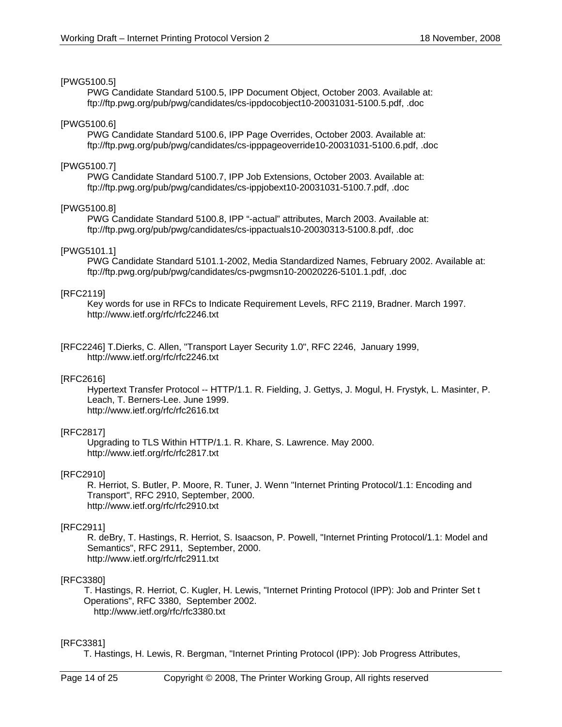#### [PWG5100.5]

 PWG Candidate Standard 5100.5, IPP Document Object, October 2003. Available at: ftp://ftp.pwg.org/pub/pwg/candidates/cs-ippdocobject10-20031031-5100.5.pdf, .doc

#### [PWG5100.6]

 PWG Candidate Standard 5100.6, IPP Page Overrides, October 2003. Available at: ftp://ftp.pwg.org/pub/pwg/candidates/cs-ipppageoverride10-20031031-5100.6.pdf, .doc

#### [PWG5100.7]

 PWG Candidate Standard 5100.7, IPP Job Extensions, October 2003. Available at: ftp://ftp.pwg.org/pub/pwg/candidates/cs-ippjobext10-20031031-5100.7.pdf, .doc

#### [PWG5100.8]

 PWG Candidate Standard 5100.8, IPP "-actual" attributes, March 2003. Available at: ftp://ftp.pwg.org/pub/pwg/candidates/cs-ippactuals10-20030313-5100.8.pdf, .doc

#### [PWG5101.1]

 PWG Candidate Standard 5101.1-2002, Media Standardized Names, February 2002. Available at: ftp://ftp.pwg.org/pub/pwg/candidates/cs-pwgmsn10-20020226-5101.1.pdf, .doc

#### [RFC2119]

Key words for use in RFCs to Indicate Requirement Levels, RFC 2119, Bradner. March 1997. http://www.ietf.org/rfc/rfc2246.txt

[RFC2246] T.Dierks, C. Allen, "Transport Layer Security 1.0", RFC 2246, January 1999, http://www.ietf.org/rfc/rfc2246.txt

#### [RFC2616]

Hypertext Transfer Protocol -- HTTP/1.1. R. Fielding, J. Gettys, J. Mogul, H. Frystyk, L. Masinter, P. Leach, T. Berners-Lee. June 1999. http://www.ietf.org/rfc/rfc2616.txt

#### [RFC2817]

Upgrading to TLS Within HTTP/1.1. R. Khare, S. Lawrence. May 2000. http://www.ietf.org/rfc/rfc2817.txt

#### [RFC2910]

R. Herriot, S. Butler, P. Moore, R. Tuner, J. Wenn "Internet Printing Protocol/1.1: Encoding and Transport", RFC 2910, September, 2000. http://www.ietf.org/rfc/rfc2910.txt

#### [RFC2911]

R. deBry, T. Hastings, R. Herriot, S. Isaacson, P. Powell, "Internet Printing Protocol/1.1: Model and Semantics", RFC 2911, September, 2000. http://www.ietf.org/rfc/rfc2911.txt

#### [RFC3380]

T. Hastings, R. Herriot, C. Kugler, H. Lewis, "Internet Printing Protocol (IPP): Job and Printer Set t Operations", RFC 3380, September 2002. http://www.ietf.org/rfc/rfc3380.txt

#### [RFC3381]

T. Hastings, H. Lewis, R. Bergman, "Internet Printing Protocol (IPP): Job Progress Attributes,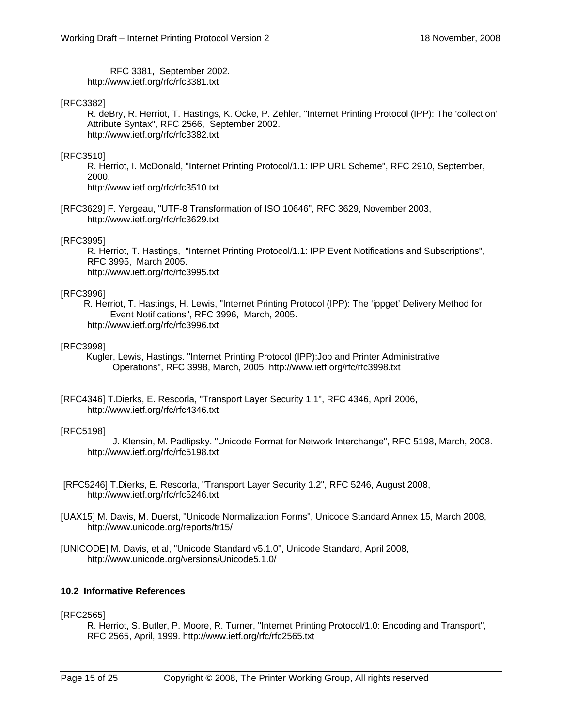RFC 3381, September 2002. http://www.ietf.org/rfc/rfc3381.txt

#### [RFC3382]

R. deBry, R. Herriot, T. Hastings, K. Ocke, P. Zehler, "Internet Printing Protocol (IPP): The 'collection' Attribute Syntax", RFC 2566, September 2002. http://www.ietf.org/rfc/rfc3382.txt

#### [RFC3510]

R. Herriot, I. McDonald, "Internet Printing Protocol/1.1: IPP URL Scheme", RFC 2910, September, 2000.

http://www.ietf.org/rfc/rfc3510.txt

[RFC3629] F. Yergeau, "UTF-8 Transformation of ISO 10646", RFC 3629, November 2003, http://www.ietf.org/rfc/rfc3629.txt

#### [RFC3995]

R. Herriot, T. Hastings, "Internet Printing Protocol/1.1: IPP Event Notifications and Subscriptions", RFC 3995, March 2005. http://www.ietf.org/rfc/rfc3995.txt

#### [RFC3996]

 R. Herriot, T. Hastings, H. Lewis, "Internet Printing Protocol (IPP): The 'ippget' Delivery Method for Event Notifications", RFC 3996, March, 2005. http://www.ietf.org/rfc/rfc3996.txt

#### [RFC3998]

 Kugler, Lewis, Hastings. "Internet Printing Protocol (IPP):Job and Printer Administrative Operations", RFC 3998, March, 2005. http://www.ietf.org/rfc/rfc3998.txt

[RFC4346] T.Dierks, E. Rescorla, "Transport Layer Security 1.1", RFC 4346, April 2006, http://www.ietf.org/rfc/rfc4346.txt

#### [RFC5198]

 J. Klensin, M. Padlipsky. "Unicode Format for Network Interchange", RFC 5198, March, 2008. http://www.ietf.org/rfc/rfc5198.txt

- [RFC5246] T.Dierks, E. Rescorla, "Transport Layer Security 1.2", RFC 5246, August 2008, http://www.ietf.org/rfc/rfc5246.txt
- [UAX15] M. Davis, M. Duerst, "Unicode Normalization Forms", Unicode Standard Annex 15, March 2008, http://www.unicode.org/reports/tr15/
- [UNICODE] M. Davis, et al, "Unicode Standard v5.1.0", Unicode Standard, April 2008, http://www.unicode.org/versions/Unicode5.1.0/

#### **10.2 Informative References**

#### [RFC2565]

R. Herriot, S. Butler, P. Moore, R. Turner, "Internet Printing Protocol/1.0: Encoding and Transport", RFC 2565, April, 1999. http://www.ietf.org/rfc/rfc2565.txt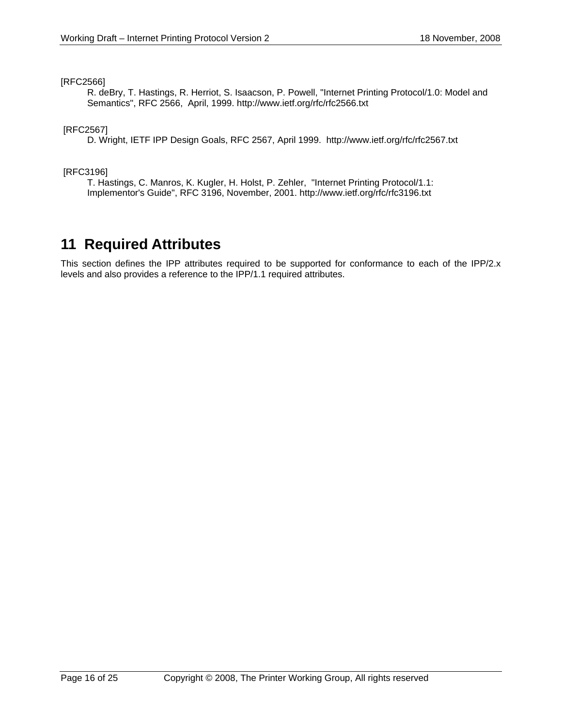#### [RFC2566]

R. deBry, T. Hastings, R. Herriot, S. Isaacson, P. Powell, "Internet Printing Protocol/1.0: Model and Semantics", RFC 2566, April, 1999. http://www.ietf.org/rfc/rfc2566.txt

### [RFC2567]

D. Wright, IETF IPP Design Goals, RFC 2567, April 1999. http://www.ietf.org/rfc/rfc2567.txt

#### [RFC3196]

T. Hastings, C. Manros, K. Kugler, H. Holst, P. Zehler, "Internet Printing Protocol/1.1: Implementor's Guide", RFC 3196, November, 2001. http://www.ietf.org/rfc/rfc3196.txt

## **11 Required Attributes**

This section defines the IPP attributes required to be supported for conformance to each of the IPP/2.x levels and also provides a reference to the IPP/1.1 required attributes.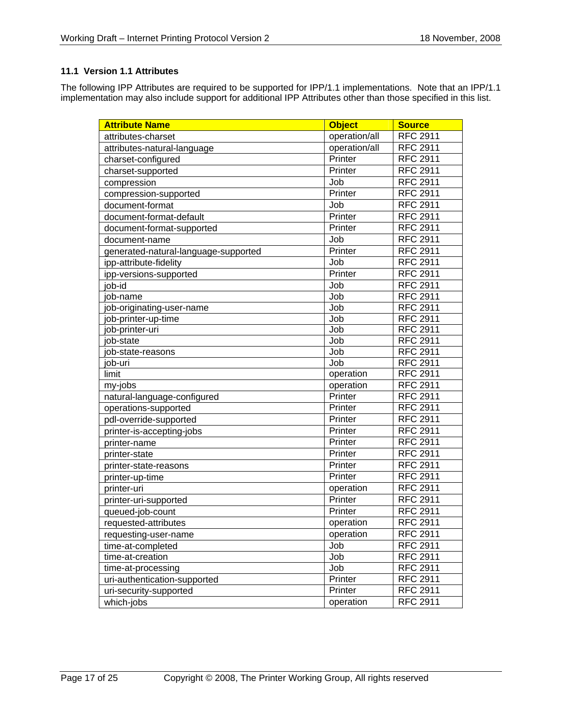## **11.1 Version 1.1 Attributes**

The following IPP Attributes are required to be supported for IPP/1.1 implementations. Note that an IPP/1.1 implementation may also include support for additional IPP Attributes other than those specified in this list.

| <b>Attribute Name</b>                | <b>Object</b> | <b>Source</b>   |
|--------------------------------------|---------------|-----------------|
| attributes-charset                   | operation/all | <b>RFC 2911</b> |
| attributes-natural-language          | operation/all | <b>RFC 2911</b> |
| charset-configured                   | Printer       | <b>RFC 2911</b> |
| charset-supported                    | Printer       | <b>RFC 2911</b> |
| compression                          | Job           | <b>RFC 2911</b> |
| compression-supported                | Printer       | <b>RFC 2911</b> |
| document-format                      | Job           | <b>RFC 2911</b> |
| document-format-default              | Printer       | <b>RFC 2911</b> |
| document-format-supported            | Printer       | <b>RFC 2911</b> |
| document-name                        | Job           | <b>RFC 2911</b> |
| generated-natural-language-supported | Printer       | <b>RFC 2911</b> |
| ipp-attribute-fidelity               | Job           | <b>RFC 2911</b> |
| ipp-versions-supported               | Printer       | <b>RFC 2911</b> |
| job-id                               | Job           | <b>RFC 2911</b> |
| iob-name                             | Job           | <b>RFC 2911</b> |
| ob-originating-user-name             | Job           | <b>RFC 2911</b> |
| ob-printer-up-time                   | Job           | <b>RFC 2911</b> |
| ob-printer-uri                       | Job           | <b>RFC 2911</b> |
| ob-state                             | Job           | <b>RFC 2911</b> |
| ob-state-reasons                     | Job           | <b>RFC 2911</b> |
| ob-uri                               | Job           | <b>RFC 2911</b> |
| limit                                | operation     | <b>RFC 2911</b> |
| my-jobs                              | operation     | <b>RFC 2911</b> |
| natural-language-configured          | Printer       | <b>RFC 2911</b> |
| operations-supported                 | Printer       | <b>RFC 2911</b> |
| pdl-override-supported               | Printer       | <b>RFC 2911</b> |
| printer-is-accepting-jobs            | Printer       | <b>RFC 2911</b> |
| printer-name                         | Printer       | <b>RFC 2911</b> |
| printer-state                        | Printer       | <b>RFC 2911</b> |
| printer-state-reasons                | Printer       | <b>RFC 2911</b> |
| printer-up-time                      | Printer       | <b>RFC 2911</b> |
| printer-uri                          | operation     | <b>RFC 2911</b> |
| printer-uri-supported                | Printer       | <b>RFC 2911</b> |
| queued-job-count                     | Printer       | <b>RFC 2911</b> |
| requested-attributes                 | operation     | <b>RFC 2911</b> |
| requesting-user-name                 | operation     | <b>RFC 2911</b> |
| time-at-completed                    | Job           | <b>RFC 2911</b> |
| time-at-creation                     | Job           | <b>RFC 2911</b> |
| time-at-processing                   | Job           | <b>RFC 2911</b> |
| uri-authentication-supported         | Printer       | <b>RFC 2911</b> |
| uri-security-supported               | Printer       | <b>RFC 2911</b> |
| which-jobs                           | operation     | <b>RFC 2911</b> |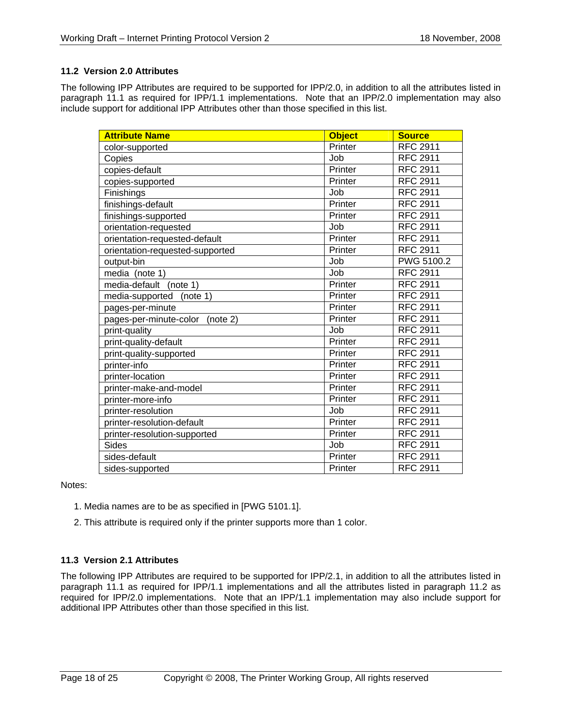## **11.2 Version 2.0 Attributes**

The following IPP Attributes are required to be supported for IPP/2.0, in addition to all the attributes listed in paragraph 11.1 as required for IPP/1.1 implementations. Note that an IPP/2.0 implementation may also include support for additional IPP Attributes other than those specified in this list.

| <b>Attribute Name</b>              | <b>Object</b> | <b>Source</b>   |
|------------------------------------|---------------|-----------------|
| color-supported                    | Printer       | <b>RFC 2911</b> |
| Copies                             | Job           | <b>RFC 2911</b> |
| copies-default                     | Printer       | <b>RFC 2911</b> |
| copies-supported                   | Printer       | <b>RFC 2911</b> |
| Finishings                         | Job           | <b>RFC 2911</b> |
| finishings-default                 | Printer       | <b>RFC 2911</b> |
| finishings-supported               | Printer       | <b>RFC 2911</b> |
| orientation-requested              | Job           | <b>RFC 2911</b> |
| orientation-requested-default      | Printer       | <b>RFC 2911</b> |
| orientation-requested-supported    | Printer       | <b>RFC 2911</b> |
| output-bin                         | Job           | PWG 5100.2      |
| media (note 1)                     | Job           | <b>RFC 2911</b> |
| media-default<br>(note 1)          | Printer       | <b>RFC 2911</b> |
| media-supported<br>(note 1)        | Printer       | <b>RFC 2911</b> |
| pages-per-minute                   | Printer       | <b>RFC 2911</b> |
| pages-per-minute-color<br>(note 2) | Printer       | <b>RFC 2911</b> |
| print-quality                      | Job           | <b>RFC 2911</b> |
| print-quality-default              | Printer       | <b>RFC 2911</b> |
| print-quality-supported            | Printer       | <b>RFC 2911</b> |
| printer-info                       | Printer       | <b>RFC 2911</b> |
| printer-location                   | Printer       | <b>RFC 2911</b> |
| printer-make-and-model             | Printer       | <b>RFC 2911</b> |
| printer-more-info                  | Printer       | <b>RFC 2911</b> |
| printer-resolution                 | Job           | <b>RFC 2911</b> |
| printer-resolution-default         | Printer       | <b>RFC 2911</b> |
| printer-resolution-supported       | Printer       | <b>RFC 2911</b> |
| <b>Sides</b>                       | Job           | <b>RFC 2911</b> |
| sides-default                      | Printer       | <b>RFC 2911</b> |
| sides-supported                    | Printer       | <b>RFC 2911</b> |

Notes:

- 1. Media names are to be as specified in [PWG 5101.1].
- 2. This attribute is required only if the printer supports more than 1 color.

## **11.3 Version 2.1 Attributes**

The following IPP Attributes are required to be supported for IPP/2.1, in addition to all the attributes listed in paragraph 11.1 as required for IPP/1.1 implementations and all the attributes listed in paragraph 11.2 as required for IPP/2.0 implementations. Note that an IPP/1.1 implementation may also include support for additional IPP Attributes other than those specified in this list.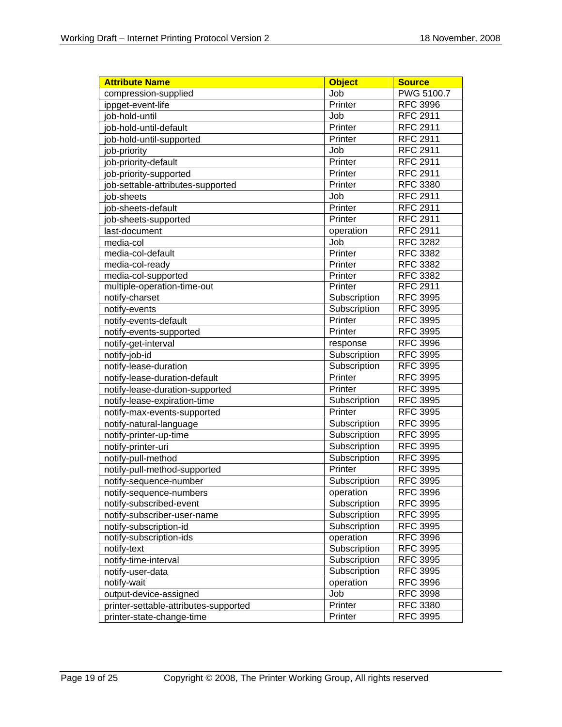| <b>Attribute Name</b>                 | <b>Object</b> | <b>Source</b>   |
|---------------------------------------|---------------|-----------------|
| compression-supplied                  | Job           | PWG 5100.7      |
| ippget-event-life                     | Printer       | <b>RFC 3996</b> |
| job-hold-until                        | Job           | <b>RFC 2911</b> |
| job-hold-until-default                | Printer       | <b>RFC 2911</b> |
| job-hold-until-supported              | Printer       | <b>RFC 2911</b> |
| job-priority                          | Job           | <b>RFC 2911</b> |
| job-priority-default                  | Printer       | <b>RFC 2911</b> |
| job-priority-supported                | Printer       | <b>RFC 2911</b> |
| job-settable-attributes-supported     | Printer       | <b>RFC 3380</b> |
| iob-sheets                            | Job           | <b>RFC 2911</b> |
| job-sheets-default                    | Printer       | <b>RFC 2911</b> |
| job-sheets-supported                  | Printer       | <b>RFC 2911</b> |
| last-document                         | operation     | <b>RFC 2911</b> |
| media-col                             | Job           | <b>RFC 3282</b> |
| media-col-default                     | Printer       | <b>RFC 3382</b> |
| media-col-ready                       | Printer       | <b>RFC 3382</b> |
| media-col-supported                   | Printer       | <b>RFC 3382</b> |
| multiple-operation-time-out           | Printer       | <b>RFC 2911</b> |
| notify-charset                        | Subscription  | <b>RFC 3995</b> |
| notify-events                         | Subscription  | <b>RFC 3995</b> |
| notify-events-default                 | Printer       | <b>RFC 3995</b> |
| notify-events-supported               | Printer       | <b>RFC 3995</b> |
| notify-get-interval                   | response      | <b>RFC 3996</b> |
| notify-job-id                         | Subscription  | <b>RFC 3995</b> |
| notify-lease-duration                 | Subscription  | <b>RFC 3995</b> |
| notify-lease-duration-default         | Printer       | <b>RFC 3995</b> |
| notify-lease-duration-supported       | Printer       | <b>RFC 3995</b> |
| notify-lease-expiration-time          | Subscription  | <b>RFC 3995</b> |
| notify-max-events-supported           | Printer       | <b>RFC 3995</b> |
| notify-natural-language               | Subscription  | <b>RFC 3995</b> |
| notify-printer-up-time                | Subscription  | <b>RFC 3995</b> |
| notify-printer-uri                    | Subscription  | <b>RFC 3995</b> |
| notify-pull-method                    | Subscription  | <b>RFC 3995</b> |
| notify-pull-method-supported          | Printer       | <b>RFC 3995</b> |
| notify-sequence-number                | Subscription  | <b>RFC 3995</b> |
| notify-sequence-numbers               | operation     | <b>RFC 3996</b> |
| notify-subscribed-event               | Subscription  | <b>RFC 3995</b> |
| notify-subscriber-user-name           | Subscription  | <b>RFC 3995</b> |
| notify-subscription-id                | Subscription  | <b>RFC 3995</b> |
| notify-subscription-ids               | operation     | <b>RFC 3996</b> |
| notify-text                           | Subscription  | <b>RFC 3995</b> |
| notify-time-interval                  | Subscription  | <b>RFC 3995</b> |
| notify-user-data                      | Subscription  | <b>RFC 3995</b> |
| notify-wait                           | operation     | <b>RFC 3996</b> |
| output-device-assigned                | Job           | <b>RFC 3998</b> |
| printer-settable-attributes-supported | Printer       | <b>RFC 3380</b> |
| printer-state-change-time             | Printer       | <b>RFC 3995</b> |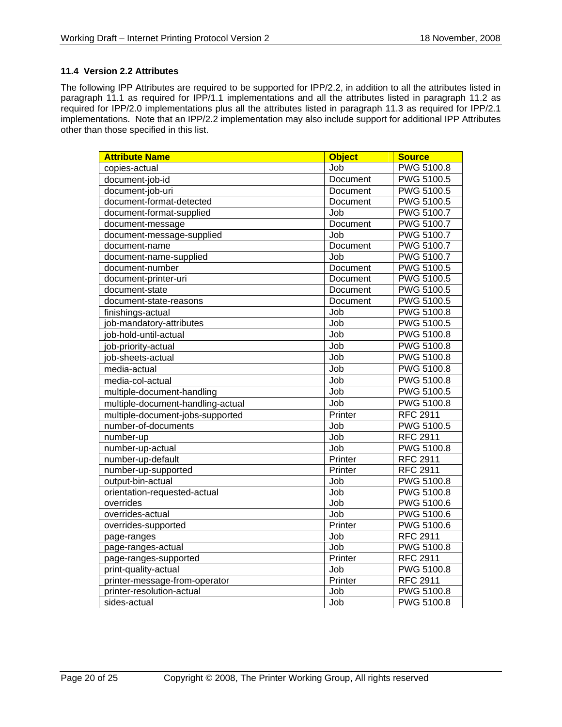### **11.4 Version 2.2 Attributes**

The following IPP Attributes are required to be supported for IPP/2.2, in addition to all the attributes listed in paragraph 11.1 as required for IPP/1.1 implementations and all the attributes listed in paragraph 11.2 as required for IPP/2.0 implementations plus all the attributes listed in paragraph 11.3 as required for IPP/2.1 implementations. Note that an IPP/2.2 implementation may also include support for additional IPP Attributes other than those specified in this list.

| <b>Attribute Name</b>             | <b>Object</b>   | <b>Source</b>     |
|-----------------------------------|-----------------|-------------------|
| copies-actual                     | Job             | PWG 5100.8        |
| document-job-id                   | Document        | <b>PWG 5100.5</b> |
| document-job-uri                  | Document        | <b>PWG 5100.5</b> |
| document-format-detected          | Document        | <b>PWG 5100.5</b> |
| document-format-supplied          | Job             | <b>PWG 5100.7</b> |
| document-message                  | Document        | <b>PWG 5100.7</b> |
| document-message-supplied         | Job             | <b>PWG 5100.7</b> |
| document-name                     | <b>Document</b> | <b>PWG 5100.7</b> |
| document-name-supplied            | Job             | <b>PWG 5100.7</b> |
| document-number                   | Document        | PWG 5100.5        |
| document-printer-uri              | Document        | PWG 5100.5        |
| document-state                    | Document        | <b>PWG 5100.5</b> |
| document-state-reasons            | Document        | <b>PWG 5100.5</b> |
| finishings-actual                 | Job             | <b>PWG 5100.8</b> |
| job-mandatory-attributes          | Job             | <b>PWG 5100.5</b> |
| job-hold-until-actual             | Job             | PWG 5100.8        |
| job-priority-actual               | Job             | <b>PWG 5100.8</b> |
| job-sheets-actual                 | Job             | <b>PWG 5100.8</b> |
| media-actual                      | Job             | <b>PWG 5100.8</b> |
| media-col-actual                  | Job             | <b>PWG 5100.8</b> |
| multiple-document-handling        | Job             | <b>PWG 5100.5</b> |
| multiple-document-handling-actual | Job             | <b>PWG 5100.8</b> |
| multiple-document-jobs-supported  | Printer         | <b>RFC 2911</b>   |
| number-of-documents               | Job             | <b>PWG 5100.5</b> |
| number-up                         | Job             | <b>RFC 2911</b>   |
| number-up-actual                  | Job             | <b>PWG 5100.8</b> |
| number-up-default                 | Printer         | <b>RFC 2911</b>   |
| number-up-supported               | Printer         | <b>RFC 2911</b>   |
| output-bin-actual                 | <b>Job</b>      | <b>PWG 5100.8</b> |
| orientation-requested-actual      | Job             | <b>PWG 5100.8</b> |
| overrides                         | Job             | <b>PWG 5100.6</b> |
| overrides-actual                  | Job             | <b>PWG 5100.6</b> |
| overrides-supported               | Printer         | <b>PWG 5100.6</b> |
| page-ranges                       | Job             | <b>RFC 2911</b>   |
| page-ranges-actual                | Job             | <b>PWG 5100.8</b> |
| page-ranges-supported             | Printer         | <b>RFC 2911</b>   |
| print-quality-actual              | Job             | <b>PWG 5100.8</b> |
| printer-message-from-operator     | Printer         | <b>RFC 2911</b>   |
| printer-resolution-actual         | Job             | PWG 5100.8        |
| sides-actual                      | Job             | <b>PWG 5100.8</b> |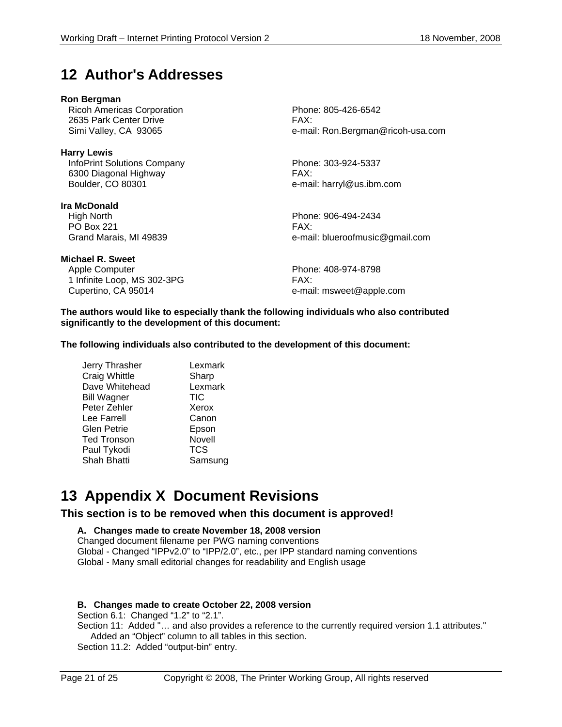## **12 Author's Addresses**

#### **Ron Bergman**

Ricoh Americas Corporation **Phone: 805-426-6542** 2635 Park Center Drive FAX:

**Harry Lewis**  InfoPrint Solutions Company Phone: 303-924-5337 6300 Diagonal Highway FAX: Boulder, CO 80301 e-mail: harryl@us.ibm.com

**Ira McDonald**  High North Phone: 906-494-2434 PO Box 221

**Michael R. Sweet** 

Apple Computer **Phone: 408-974-8798** 1 Infinite Loop, MS 302-3PG FAX: Cupertino, CA 95014 **E-Mail:** msweet@apple.com

Simi Valley, CA 93065 e-mail: Ron.Bergman@ricoh-usa.com

Grand Marais, MI 49839 **Easily 1988** e-mail: blueroofmusic@gmail.com

**The authors would like to especially thank the following individuals who also contributed significantly to the development of this document:** 

**The following individuals also contributed to the development of this document:** 

Jerry Thrasher Lexmark Craig Whittle **Sharp** Dave Whitehead Lexmark Bill Wagner **TIC** Peter Zehler Xerox Lee Farrell Canon Glen Petrie Epson Ted Tronson Novell<br>Paul Tvkodi TCS Paul Tykodi Shah Bhatti Samsung

## **13 Appendix X Document Revisions**

**This section is to be removed when this document is approved!** 

## **A. Changes made to create November 18, 2008 version**

Changed document filename per PWG naming conventions Global - Changed "IPPv2.0" to "IPP/2.0", etc., per IPP standard naming conventions Global - Many small editorial changes for readability and English usage

## **B. Changes made to create October 22, 2008 version**

Section 6.1: Changed "1.2" to "2.1".

Section 11: Added "... and also provides a reference to the currently required version 1.1 attributes." Added an "Object" column to all tables in this section.

Section 11.2: Added "output-bin" entry.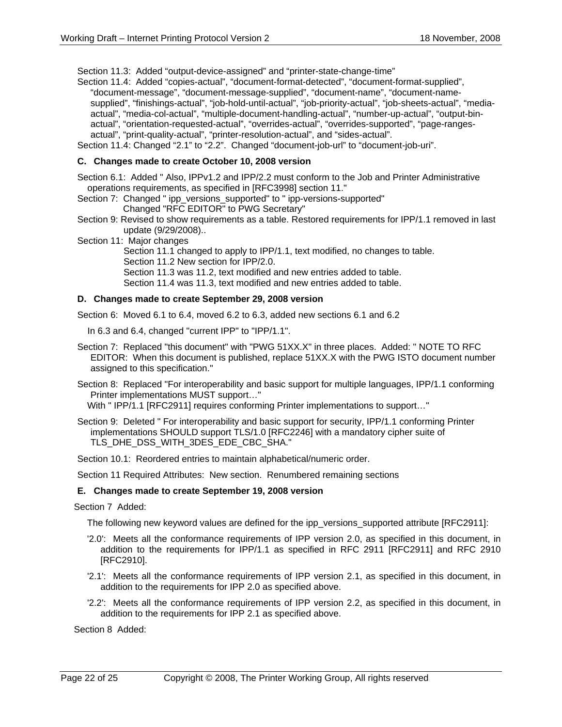Section 11.3: Added "output-device-assigned" and "printer-state-change-time"

Section 11.4: Added "copies-actual", "document-format-detected", "document-format-supplied", "document-message", "document-message-supplied", "document-name", "document-namesupplied", "finishings-actual", "job-hold-until-actual", "job-priority-actual", "job-sheets-actual", "mediaactual", "media-col-actual", "multiple-document-handling-actual", "number-up-actual", "output-binactual", "orientation-requested-actual", "overrides-actual", "overrides-supported", "page-rangesactual", "print-quality-actual", "printer-resolution-actual", and "sides-actual".

Section 11.4: Changed "2.1" to "2.2". Changed "document-job-url" to "document-job-uri".

#### **C. Changes made to create October 10, 2008 version**

Section 6.1: Added " Also, IPPv1.2 and IPP/2.2 must conform to the Job and Printer Administrative operations requirements, as specified in [RFC3998] section 11."

- Section 7: Changed " ipp\_versions\_supported" to " ipp-versions-supported" Changed "RFC EDITOR" to PWG Secretary"
- Section 9: Revised to show requirements as a table. Restored requirements for IPP/1.1 removed in last update (9/29/2008)..
- Section 11: Major changes

 Section 11.1 changed to apply to IPP/1.1, text modified, no changes to table. Section 11.2 New section for IPP/2.0. Section 11.3 was 11.2, text modified and new entries added to table.

Section 11.4 was 11.3, text modified and new entries added to table.

#### **D. Changes made to create September 29, 2008 version**

Section 6: Moved 6.1 to 6.4, moved 6.2 to 6.3, added new sections 6.1 and 6.2

In 6.3 and 6.4, changed "current IPP" to "IPP/1.1".

- Section 7: Replaced "this document" with "PWG 51XX.X" in three places. Added: " NOTE TO RFC EDITOR: When this document is published, replace 51XX.X with the PWG ISTO document number assigned to this specification."
- Section 8: Replaced "For interoperability and basic support for multiple languages, IPP/1.1 conforming Printer implementations MUST support…"

With " IPP/1.1 [RFC2911] requires conforming Printer implementations to support…"

Section 9: Deleted " For interoperability and basic support for security, IPP/1.1 conforming Printer implementations SHOULD support TLS/1.0 [RFC2246] with a mandatory cipher suite of TLS\_DHE\_DSS\_WITH\_3DES\_EDE\_CBC\_SHA."

Section 10.1: Reordered entries to maintain alphabetical/numeric order.

Section 11 Required Attributes: New section. Renumbered remaining sections

#### **E. Changes made to create September 19, 2008 version**

Section 7 Added:

The following new keyword values are defined for the ipp versions supported attribute [RFC2911]:

- '2.0': Meets all the conformance requirements of IPP version 2.0, as specified in this document, in addition to the requirements for IPP/1.1 as specified in RFC 2911 [RFC2911] and RFC 2910 [RFC2910].
- '2.1': Meets all the conformance requirements of IPP version 2.1, as specified in this document, in addition to the requirements for IPP 2.0 as specified above.
- '2.2': Meets all the conformance requirements of IPP version 2.2, as specified in this document, in addition to the requirements for IPP 2.1 as specified above.

Section 8 Added: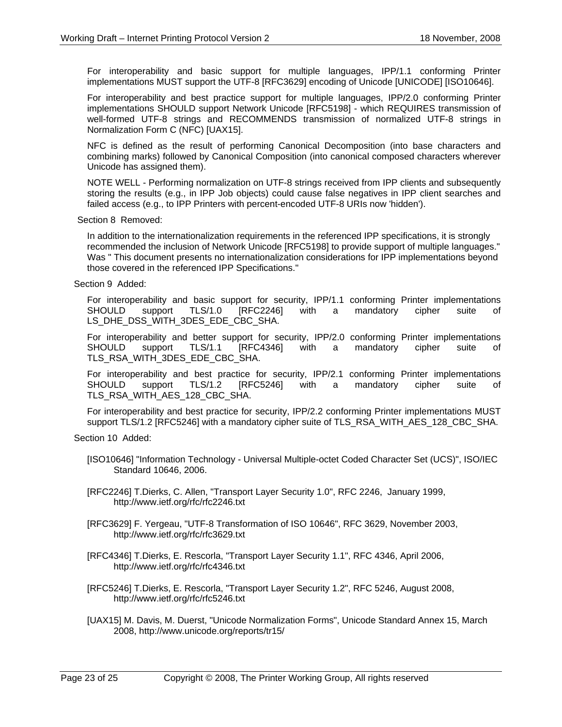For interoperability and basic support for multiple languages, IPP/1.1 conforming Printer implementations MUST support the UTF-8 [RFC3629] encoding of Unicode [UNICODE] [ISO10646].

For interoperability and best practice support for multiple languages, IPP/2.0 conforming Printer implementations SHOULD support Network Unicode [RFC5198] - which REQUIRES transmission of well-formed UTF-8 strings and RECOMMENDS transmission of normalized UTF-8 strings in Normalization Form C (NFC) [UAX15].

NFC is defined as the result of performing Canonical Decomposition (into base characters and combining marks) followed by Canonical Composition (into canonical composed characters wherever Unicode has assigned them).

NOTE WELL - Performing normalization on UTF-8 strings received from IPP clients and subsequently storing the results (e.g., in IPP Job objects) could cause false negatives in IPP client searches and failed access (e.g., to IPP Printers with percent-encoded UTF-8 URIs now 'hidden').

Section 8 Removed:

In addition to the internationalization requirements in the referenced IPP specifications, it is strongly recommended the inclusion of Network Unicode [RFC5198] to provide support of multiple languages." Was " This document presents no internationalization considerations for IPP implementations beyond those covered in the referenced IPP Specifications."

Section 9 Added:

For interoperability and basic support for security, IPP/1.1 conforming Printer implementations SHOULD support TLS/1.0 [RFC2246] with a mandatory cipher suite of LS\_DHE\_DSS\_WITH\_3DES\_EDE\_CBC\_SHA.

For interoperability and better support for security, IPP/2.0 conforming Printer implementations SHOULD support TLS/1.1 [RFC4346] with a mandatory cipher suite of TLS\_RSA\_WITH\_3DES\_EDE\_CBC\_SHA.

For interoperability and best practice for security, IPP/2.1 conforming Printer implementations SHOULD support TLS/1.2 [RFC5246] with a mandatory cipher suite of TLS\_RSA\_WITH\_AES\_128\_CBC\_SHA.

For interoperability and best practice for security, IPP/2.2 conforming Printer implementations MUST support TLS/1.2 [RFC5246] with a mandatory cipher suite of TLS\_RSA\_WITH\_AES\_128\_CBC\_SHA.

Section 10 Added:

[ISO10646] "Information Technology - Universal Multiple-octet Coded Character Set (UCS)", ISO/IEC Standard 10646, 2006.

[RFC2246] T.Dierks, C. Allen, "Transport Layer Security 1.0", RFC 2246, January 1999, http://www.ietf.org/rfc/rfc2246.txt

- [RFC3629] F. Yergeau, "UTF-8 Transformation of ISO 10646", RFC 3629, November 2003, http://www.ietf.org/rfc/rfc3629.txt
- [RFC4346] T.Dierks, E. Rescorla, "Transport Layer Security 1.1", RFC 4346, April 2006, http://www.ietf.org/rfc/rfc4346.txt
- [RFC5246] T.Dierks, E. Rescorla, "Transport Layer Security 1.2", RFC 5246, August 2008, http://www.ietf.org/rfc/rfc5246.txt
- [UAX15] M. Davis, M. Duerst, "Unicode Normalization Forms", Unicode Standard Annex 15, March 2008, http://www.unicode.org/reports/tr15/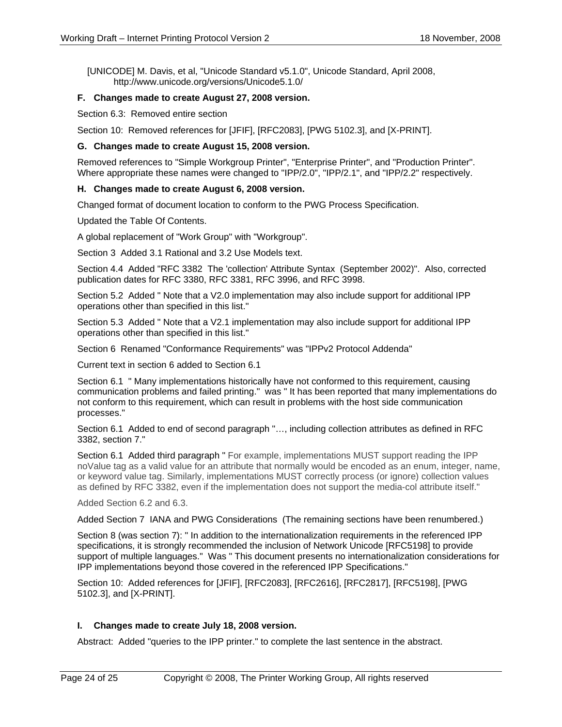[UNICODE] M. Davis, et al, "Unicode Standard v5.1.0", Unicode Standard, April 2008, http://www.unicode.org/versions/Unicode5.1.0/

### **F. Changes made to create August 27, 2008 version.**

Section 6.3: Removed entire section

Section 10: Removed references for [JFIF], [RFC2083], [PWG 5102.3], and [X-PRINT].

#### **G. Changes made to create August 15, 2008 version.**

Removed references to "Simple Workgroup Printer", "Enterprise Printer", and "Production Printer". Where appropriate these names were changed to "IPP/2.0", "IPP/2.1", and "IPP/2.2" respectively.

#### **H. Changes made to create August 6, 2008 version.**

Changed format of document location to conform to the PWG Process Specification.

Updated the Table Of Contents.

A global replacement of "Work Group" with "Workgroup".

Section 3 Added 3.1 Rational and 3.2 Use Models text.

Section 4.4 Added "RFC 3382 The 'collection' Attribute Syntax (September 2002)". Also, corrected publication dates for RFC 3380, RFC 3381, RFC 3996, and RFC 3998.

Section 5.2 Added " Note that a V2.0 implementation may also include support for additional IPP operations other than specified in this list."

Section 5.3 Added " Note that a V2.1 implementation may also include support for additional IPP operations other than specified in this list."

Section 6 Renamed "Conformance Requirements" was "IPPv2 Protocol Addenda"

Current text in section 6 added to Section 6.1

Section 6.1 " Many implementations historically have not conformed to this requirement, causing communication problems and failed printing." was " It has been reported that many implementations do not conform to this requirement, which can result in problems with the host side communication processes."

Section 6.1 Added to end of second paragraph "…, including collection attributes as defined in RFC 3382, section 7."

Section 6.1 Added third paragraph " For example, implementations MUST support reading the IPP noValue tag as a valid value for an attribute that normally would be encoded as an enum, integer, name, or keyword value tag. Similarly, implementations MUST correctly process (or ignore) collection values as defined by RFC 3382, even if the implementation does not support the media-col attribute itself."

Added Section 6.2 and 6.3.

Added Section 7 IANA and PWG Considerations (The remaining sections have been renumbered.)

Section 8 (was section 7): " In addition to the internationalization requirements in the referenced IPP specifications, it is strongly recommended the inclusion of Network Unicode [RFC5198] to provide support of multiple languages." Was " This document presents no internationalization considerations for IPP implementations beyond those covered in the referenced IPP Specifications."

Section 10: Added references for [JFIF], [RFC2083], [RFC2616], [RFC2817], [RFC5198], [PWG 5102.3], and [X-PRINT].

#### **I. Changes made to create July 18, 2008 version.**

Abstract: Added "queries to the IPP printer." to complete the last sentence in the abstract.